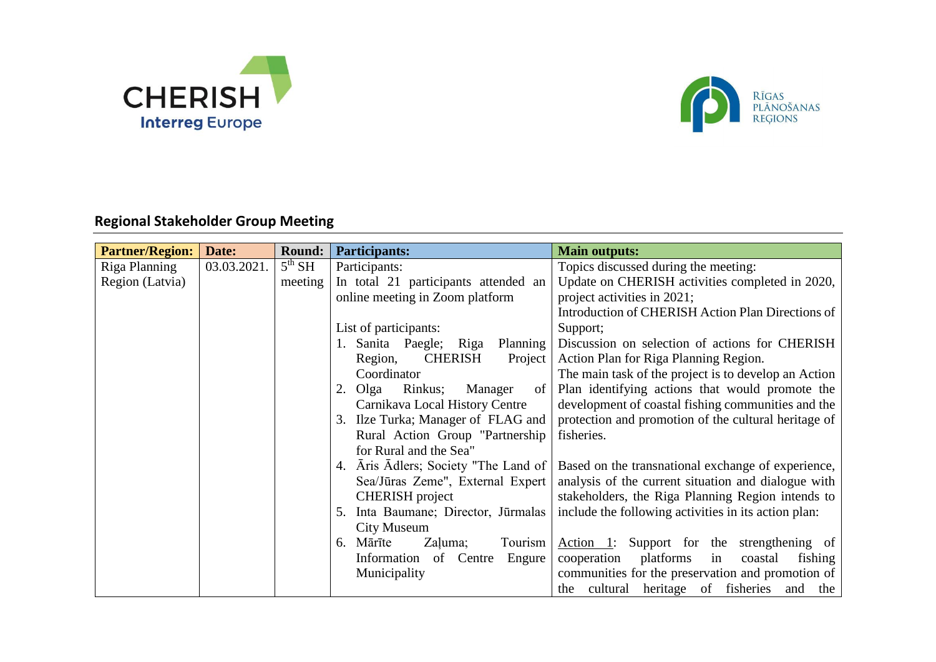



## **Regional Stakeholder Group Meeting**

| <b>Partner/Region:</b> | Date:       | <b>Round:</b>      | <b>Participants:</b>                   | <b>Main outputs:</b>                                 |
|------------------------|-------------|--------------------|----------------------------------------|------------------------------------------------------|
| Riga Planning          | 03.03.2021. | 5 <sup>th</sup> SH | Participants:                          | Topics discussed during the meeting:                 |
| Region (Latvia)        |             | meeting            | In total 21 participants attended an   | Update on CHERISH activities completed in 2020,      |
|                        |             |                    | online meeting in Zoom platform        | project activities in 2021;                          |
|                        |             |                    |                                        | Introduction of CHERISH Action Plan Directions of    |
|                        |             |                    | List of participants:                  | Support;                                             |
|                        |             |                    | 1. Sanita Paegle; Riga<br>Planning     | Discussion on selection of actions for CHERISH       |
|                        |             |                    | <b>CHERISH</b><br>Project<br>Region,   | Action Plan for Riga Planning Region.                |
|                        |             |                    | Coordinator                            | The main task of the project is to develop an Action |
|                        |             |                    | Olga<br>Rinkus;<br>Manager<br>of<br>2. | Plan identifying actions that would promote the      |
|                        |             |                    | Carnikava Local History Centre         | development of coastal fishing communities and the   |
|                        |             |                    | Ilze Turka; Manager of FLAG and        | protection and promotion of the cultural heritage of |
|                        |             |                    | Rural Action Group "Partnership        | fisheries.                                           |
|                        |             |                    | for Rural and the Sea"                 |                                                      |
|                        |             |                    | Aris Adlers; Society "The Land of      | Based on the transnational exchange of experience,   |
|                        |             |                    | Sea/Jūras Zeme", External Expert       | analysis of the current situation and dialogue with  |
|                        |             |                    | <b>CHERISH</b> project                 | stakeholders, the Riga Planning Region intends to    |
|                        |             |                    | Inta Baumane; Director, Jūrmalas<br>5. | include the following activities in its action plan: |
|                        |             |                    | City Museum                            |                                                      |
|                        |             |                    | Mārīte<br>Zaļuma;<br>Tourism<br>6.     | Action 1: Support for the strengthening of           |
|                        |             |                    | Information of Centre<br>Engure        | platforms<br>fishing<br>cooperation<br>in<br>coastal |
|                        |             |                    | Municipality                           | communities for the preservation and promotion of    |
|                        |             |                    |                                        | cultural heritage of fisheries<br>and<br>the<br>the  |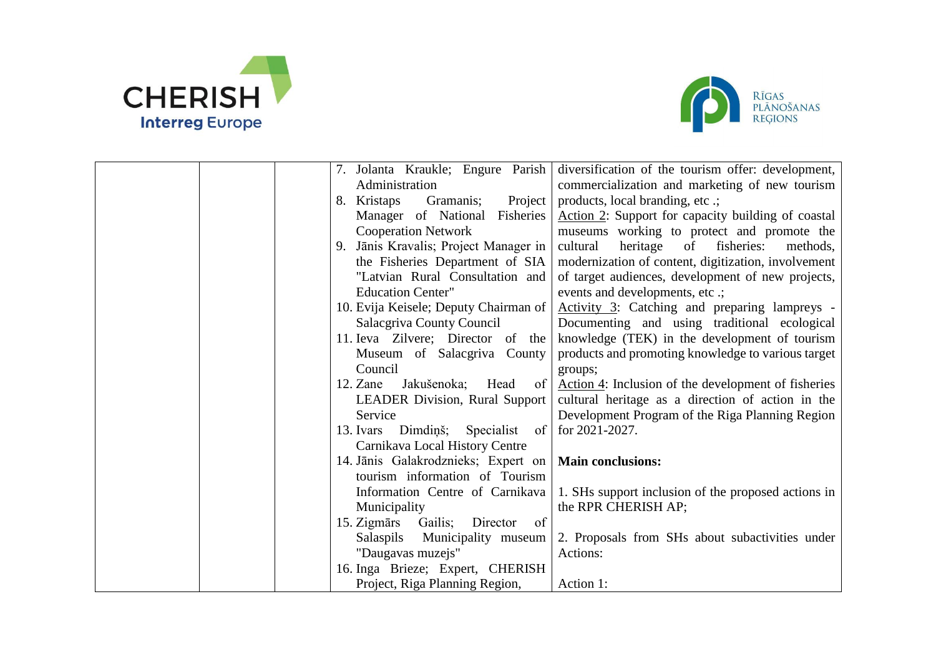



| 7. Jolanta Kraukle; Engure Parish               | diversification of the tourism offer: development,   |
|-------------------------------------------------|------------------------------------------------------|
| Administration                                  | commercialization and marketing of new tourism       |
| Gramanis;<br>Project  <br>8. Kristaps           | products, local branding, etc .;                     |
| Manager of National Fisheries                   | Action 2: Support for capacity building of coastal   |
| <b>Cooperation Network</b>                      | museums working to protect and promote the           |
| Jānis Kravalis; Project Manager in<br>9.        | cultural<br>heritage<br>of<br>fisheries:<br>methods, |
| the Fisheries Department of SIA                 | modernization of content, digitization, involvement  |
| "Latvian Rural Consultation and                 | of target audiences, development of new projects,    |
| <b>Education Center"</b>                        | events and developments, etc .;                      |
| 10. Evija Keisele; Deputy Chairman of           | Activity 3: Catching and preparing lampreys -        |
| Salacgriva County Council                       | Documenting and using traditional ecological         |
| 11. Ieva Zilvere; Director of the               | knowledge (TEK) in the development of tourism        |
| Museum of Salacgriva County                     | products and promoting knowledge to various target   |
| Council                                         | groups;                                              |
| 12. Zane<br>Jakušenoka;<br>Head<br>$\circ$ of   | Action 4: Inclusion of the development of fisheries  |
| <b>LEADER Division, Rural Support</b>           | cultural heritage as a direction of action in the    |
| Service                                         | Development Program of the Riga Planning Region      |
| 13. Ivars Dimdiņš; Specialist of for 2021-2027. |                                                      |
| Carnikava Local History Centre                  |                                                      |
| 14. Jānis Galakrodznieks; Expert on             | <b>Main conclusions:</b>                             |
| tourism information of Tourism                  |                                                      |
| Information Centre of Carnikava                 | 1. SHs support inclusion of the proposed actions in  |
| Municipality                                    | the RPR CHERISH AP;                                  |
| Gailis; Director<br>15. Zigmārs<br>of           |                                                      |
| Municipality museum<br>Salaspils                | 2. Proposals from SHs about subactivities under      |
| "Daugavas muzejs"                               | Actions:                                             |
| 16. Inga Brieze; Expert, CHERISH                |                                                      |
| Project, Riga Planning Region,                  | Action 1:                                            |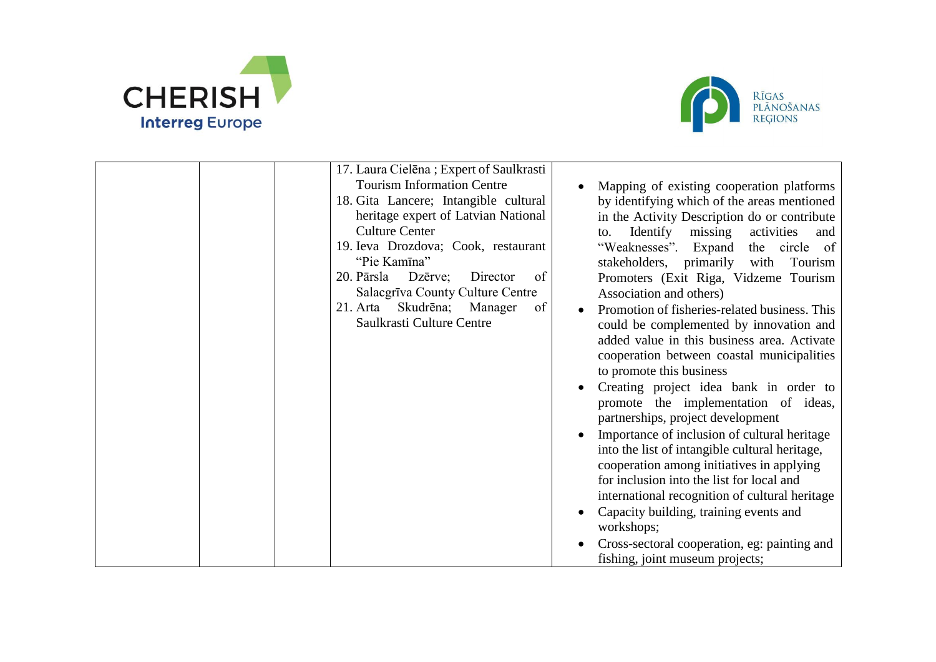



| 17. Laura Cielēna; Expert of Saulkrasti<br><b>Tourism Information Centre</b><br>18. Gita Lancere; Intangible cultural<br>heritage expert of Latvian National<br><b>Culture Center</b><br>19. Ieva Drozdova; Cook, restaurant<br>"Pie Kamīna"<br>Dzērve;<br>20. Pārsla<br>Director<br>of<br>Salacgrīva County Culture Centre<br>21. Arta Skudrēna; Manager<br>of<br>Saulkrasti Culture Centre | Mapping of existing cooperation platforms<br>by identifying which of the areas mentioned<br>in the Activity Description do or contribute<br>Identify missing<br>activities<br>to.<br>and<br>"Weaknesses".<br>Expand<br>the circle of<br>stakeholders, primarily with<br>Tourism<br>Promoters (Exit Riga, Vidzeme Tourism<br>Association and others)<br>Promotion of fisheries-related business. This<br>could be complemented by innovation and<br>added value in this business area. Activate<br>cooperation between coastal municipalities<br>to promote this business<br>Creating project idea bank in order to<br>promote the implementation of ideas,<br>partnerships, project development<br>Importance of inclusion of cultural heritage<br>into the list of intangible cultural heritage,<br>cooperation among initiatives in applying<br>for inclusion into the list for local and<br>international recognition of cultural heritage<br>Capacity building, training events and<br>workshops; |
|----------------------------------------------------------------------------------------------------------------------------------------------------------------------------------------------------------------------------------------------------------------------------------------------------------------------------------------------------------------------------------------------|-------------------------------------------------------------------------------------------------------------------------------------------------------------------------------------------------------------------------------------------------------------------------------------------------------------------------------------------------------------------------------------------------------------------------------------------------------------------------------------------------------------------------------------------------------------------------------------------------------------------------------------------------------------------------------------------------------------------------------------------------------------------------------------------------------------------------------------------------------------------------------------------------------------------------------------------------------------------------------------------------------|
|                                                                                                                                                                                                                                                                                                                                                                                              | Cross-sectoral cooperation, eg: painting and<br>fishing, joint museum projects;                                                                                                                                                                                                                                                                                                                                                                                                                                                                                                                                                                                                                                                                                                                                                                                                                                                                                                                       |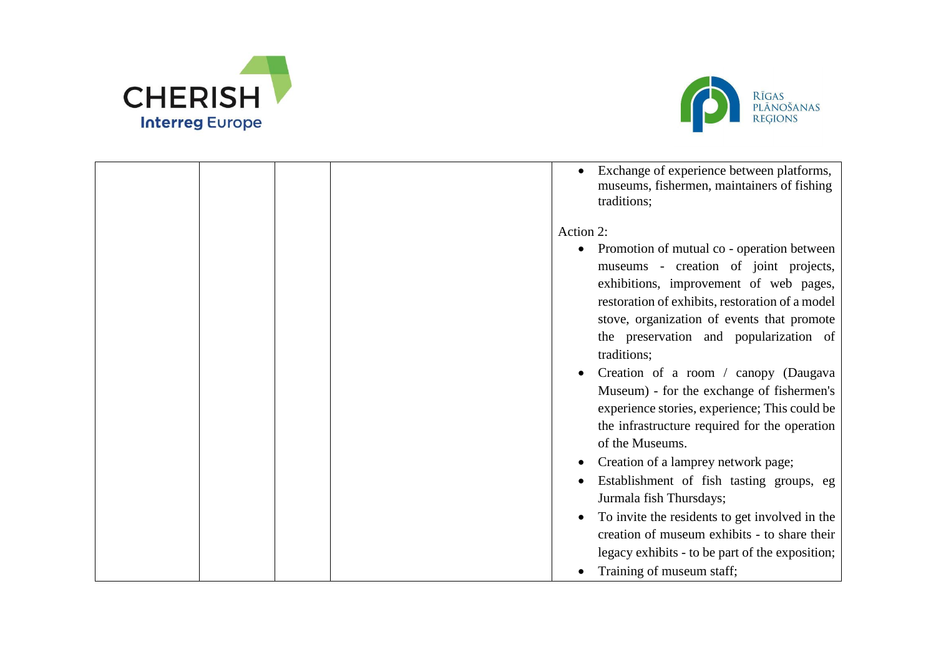



|  | Exchange of experience between platforms,<br>museums, fishermen, maintainers of fishing<br>traditions;                                                                                                                                                                                                          |
|--|-----------------------------------------------------------------------------------------------------------------------------------------------------------------------------------------------------------------------------------------------------------------------------------------------------------------|
|  | Action 2:<br>Promotion of mutual co - operation between<br>$\bullet$<br>museums - creation of joint projects,<br>exhibitions, improvement of web pages,<br>restoration of exhibits, restoration of a model<br>stove, organization of events that promote                                                        |
|  | the preservation and popularization of<br>traditions;<br>Creation of a room / canopy (Daugava<br>Museum) - for the exchange of fishermen's<br>experience stories, experience; This could be<br>the infrastructure required for the operation                                                                    |
|  | of the Museums.<br>Creation of a lamprey network page;<br>Establishment of fish tasting groups, eg<br>Jurmala fish Thursdays;<br>To invite the residents to get involved in the<br>creation of museum exhibits - to share their<br>legacy exhibits - to be part of the exposition;<br>Training of museum staff; |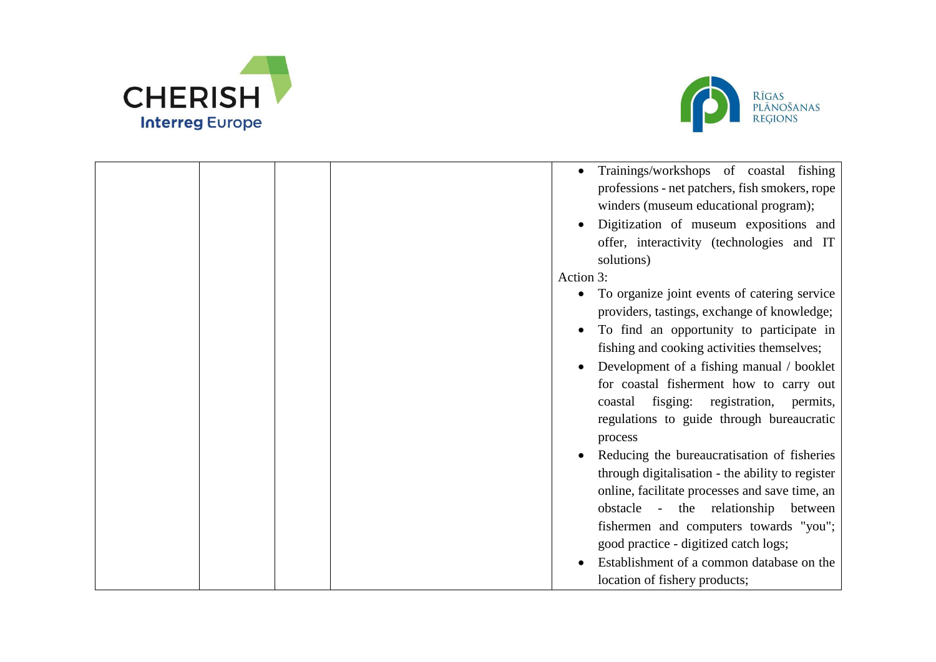



| Trainings/workshops of coastal fishing<br>professions - net patchers, fish smokers, rope<br>winders (museum educational program);<br>Digitization of museum expositions and<br>offer, interactivity (technologies and IT<br>solutions)<br>Action 3:                         |
|-----------------------------------------------------------------------------------------------------------------------------------------------------------------------------------------------------------------------------------------------------------------------------|
| To organize joint events of catering service<br>$\bullet$<br>providers, tastings, exchange of knowledge;                                                                                                                                                                    |
| To find an opportunity to participate in<br>fishing and cooking activities themselves;                                                                                                                                                                                      |
| Development of a fishing manual / booklet<br>for coastal fisherment how to carry out<br>coastal fisging: registration,<br>permits,<br>regulations to guide through bureaucratic<br>process                                                                                  |
| Reducing the bureaucratisation of fisheries<br>through digitalisation - the ability to register<br>online, facilitate processes and save time, an<br>obstacle - the relationship between<br>fishermen and computers towards "you";<br>good practice - digitized catch logs; |
| Establishment of a common database on the<br>location of fishery products;                                                                                                                                                                                                  |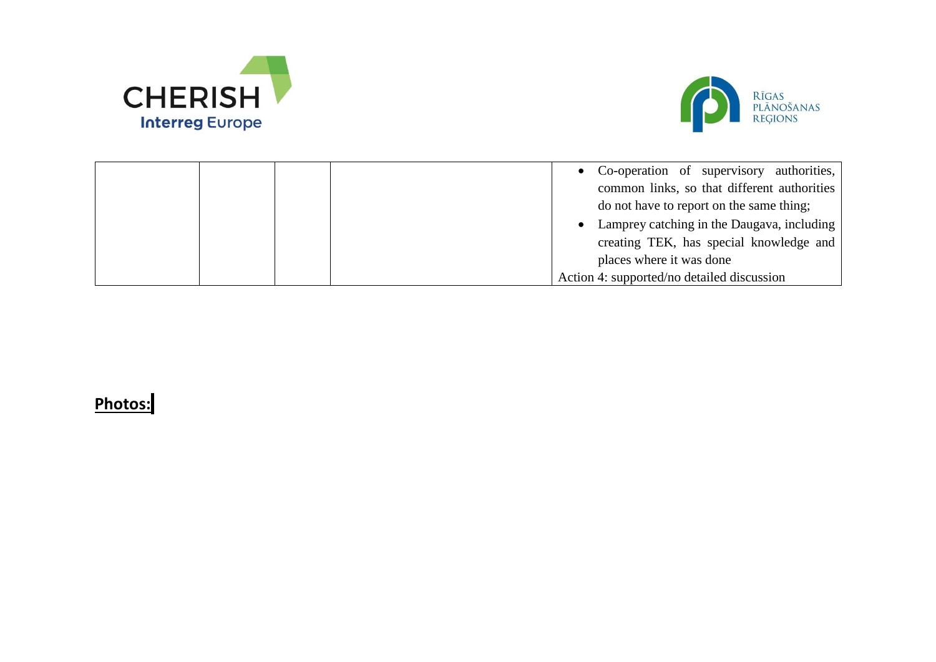



|  | • Co-operation of supervisory authorities,   |
|--|----------------------------------------------|
|  | common links, so that different authorities  |
|  | do not have to report on the same thing;     |
|  | • Lamprey catching in the Daugava, including |
|  | creating TEK, has special knowledge and      |
|  | places where it was done                     |
|  | Action 4: supported/no detailed discussion   |

## **Photos:**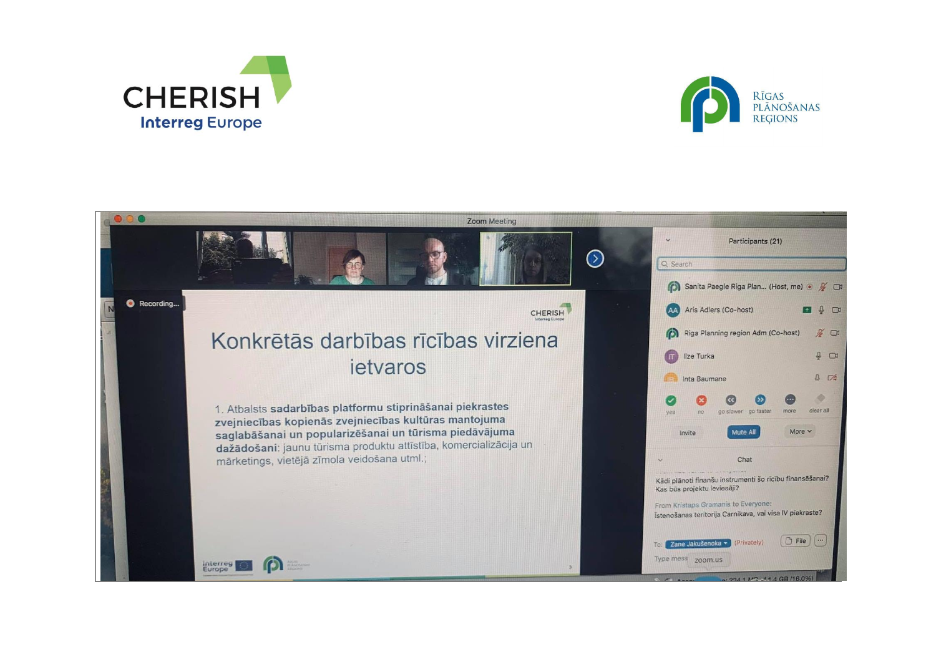



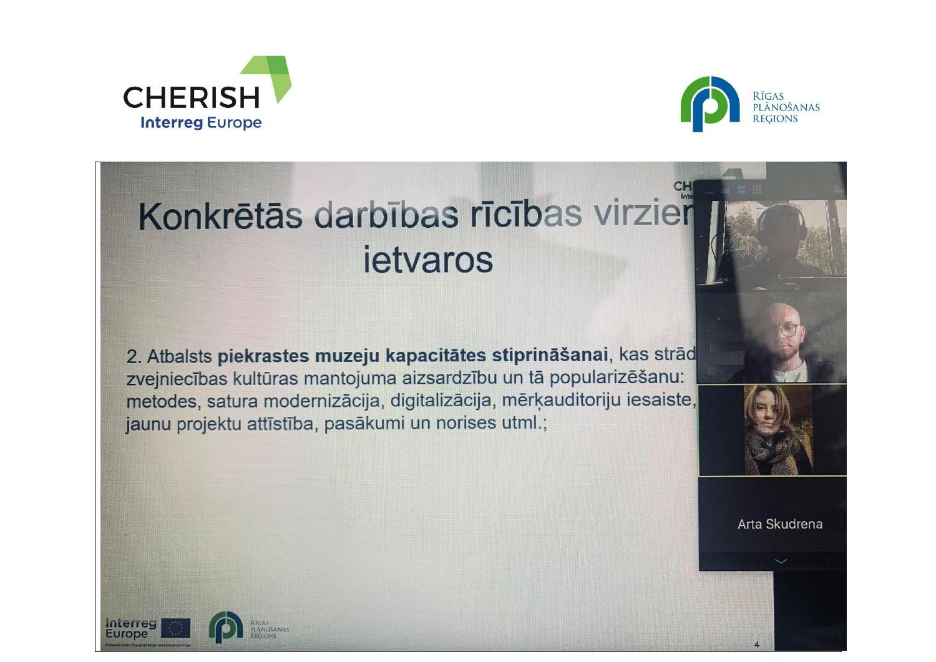



## Konkrētās darbības rīcības virzier ietvaros

2. Atbalsts piekrastes muzeju kapacitātes stiprināšanai, kas strād zvejniecības kultūras mantojuma aizsardzību un tā popularizēšanu: metodes, satura modernizācija, digitalizācija, mērķauditoriju iesaiste, jaunu projektu attīstība, pasākumi un norises utml.;



Arta Skudrena